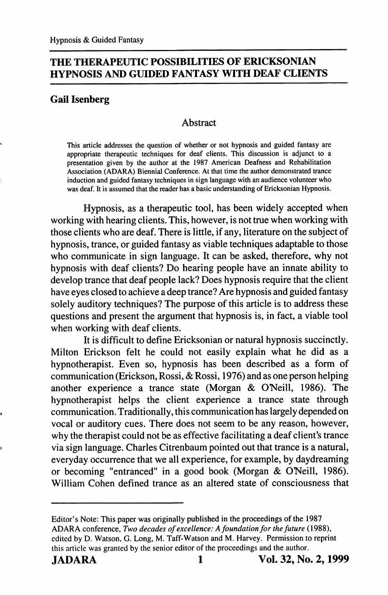# THE THERAPEUTIC POSSIBILITIES OF ERICKSONIAN HYPNOSIS AND GUIDED FANTASY WITH DEAF CLIENTS

# Gail Isenberg

## Abstract

This article addresses the question of whether or not hypnosis and guided fantasy are appropriate therapeutic techniques for deaf clients. This discussion is adjunct to a presentation given by the author at the 1987 American Deafness and Rehabilitation Association (ADARA) Biennial Conference. At that time the author demonstrated trance induction and guided fantasy techniques in sign language with an audience volunteer who was deaf. It is assumed that the reader has a basic understanding of Ericksonian Hypnosis.

Hypnosis, as a therapeutic tool, has been widely accepted when working with hearing clients. This, however, is not true when working with those clients who are deaf. There is little, if any, literature on the subject of hypnosis, trance, or guided fantasy as viable techniques adaptable to those who communicate in sign language. It can be asked, therefore, why not hypnosis with deaf clients? Do hearing people have an innate ability to develop trance that deaf people lack? Does hypnosis require that the client have eyes closed to achieve a deep trance? Are hypnosis and guided fantasy solely auditory techniques? The purpose of this article is to address these questions and present the argument that hypnosis is, in fact, a viable tool when working with deaf clients.

It is difficult to define Ericksonian or natural hypnosis succinctly. Milton Erickson felt he could not easily explain what he did as a hypnotherapist. Even so, hypnosis has been described as a form of communication (Erickson, Rossi, & Rossi, 1976) and as one person helping another experience a trance state (Morgan & O'Neill, 1986). The hypnotherapist helps the client experience a trance state through communication. Traditionally, this communication has largely depended on vocal or auditory cues. There does not seem to be any reason, however, why the therapist could not be as effective facilitating a deaf client's trance via sign language. Charles Citrenbaum pointed out that trance is a natural, everyday occurrence that we all experience, for example, by daydreaming or becoming "entranced" in a good book (Morgan & ONeill, 1986). William Cohen defined trance as an altered state of consciousness that

Editor's Note: This paper was originally published in the proceedings of the 1987 ADARA conference. Two decades of excellence: A foundation for the future (1988), edited by D. Watson, G. Long, M. Taff-Watson and M. Harvey. Permission to reprint this article was granted by the senior editor of the proceedings and the author.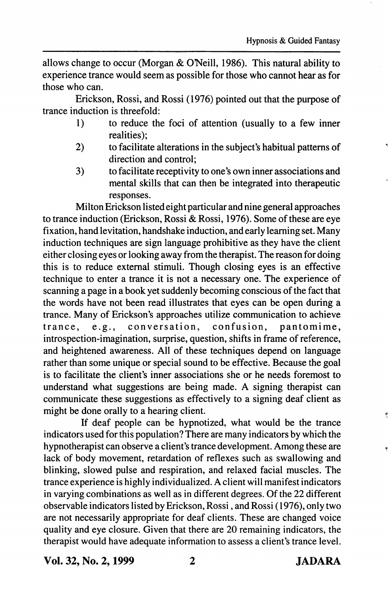allows change to occur (Morgan & O'Neill, 1986). This natural ability to experience trance would seem as possible for those who cannot hear as for those who can.

Erickson, Rossi, and Rossi (1976) pointed out that the purpose of trance induction is threefold:

- 1) to reduce the foci of attention (usually to a few inner realities);
- 2) to facilitate alterations in the subject's habitual patterns of direction and control;
- 3) to facilitate receptivity to one's own inner associations and mental skills that can then be integrated into therapeutic responses.

Milton Erickson listed eight particular and nine general approaches to trance induction (Erickson, Rossi & Rossi, 1976). Some of these are eye fixation, hand levitation, handshake induction, and early learning set. Many induction techniques are sign language prohibitive as they have the client either closing eyes or looking away from the therapist. The reason for doing this is to reduce external stimuli. Though closing eyes is an effective technique to enter a trance it is not a necessary one. The experience of scanning a page in a book yet suddenly becoming conscious of the fact that the words have not been read illustrates that eyes can be open during a trance. Many of Erickson's approaches utilize communication to achieve<br>trance, e.g., conversation, confusion, pantomime, trance, e.g., conversation, confusion, pantomime, introspection-imagination, surprise, question, shifts in frame of reference, and heightened awareness. All of these techniques depend on language rather than some unique or special sound to be effective. Because the goal is to facilitate the client's inner associations she or he needs foremost to understand what suggestions are being made. A signing therapist can communicate these suggestions as effectively to a signing deaf client as might be done orally to a hearing client.

If deaf people can be hypnotized, what would be the trance indicators used for this population? There are many indicators by which the hypnotherapist can observe a client's trance development. Among these are lack of body movement, retardation of reflexes such as swallowing and blinking, slowed pulse and respiration, and relaxed facial muscles. The trance experience is highly individualized. A client will manifest indicators in varying combinations as well as in different degrees. Of the 22 different observable indicators listed by Erickson, Rossi, and Rossi (1976), only two are not necessarily appropriate for deaf clients. These are changed voice quality and eye closure. Given that there are 20 remaining indicators, the therapist would have adequate information to assess a client's trance level.

Vol. 32, No. 2,1999 2 JADARA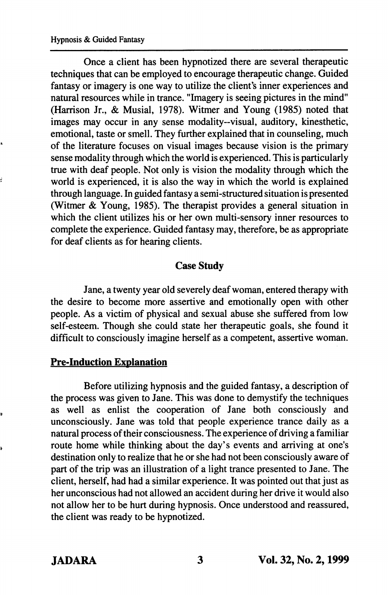Once a client has been hypnotized there are several therapeutic techniques that can be employed to encourage therapeutic change. Guided fantasy or imagery is one way to utilize the client's inner experiences and natural resources while in trance. "Imagery is seeing pictures in the mind" (Harrison Jr., & Musial, 1978). Witmer and Young (1985) noted that images may occur in any sense modality—visual, auditory, kinesthetic, emotional, taste or smell. They further explained that in counseling, much of the literature focuses on visual images because vision is the primary sense modality through which the world is experienced. This is particularly true with deaf people. Not only is vision the modality through which the world is experienced, it is also the way in which the world is explained through language. In guided fantasy a semi-structured situation is presented (Witmer & Young, 1985). The therapist provides a general situation in which the client utilizes his or her own multi-sensory inner resources to complete the experience. Guided fantasy may, therefore, be as appropriate for deaf clients as for hearing clients.

## Case Study

Jane, a twenty year old severely deaf woman, entered therapy with the desire to become more assertive and emotionally open with other people. As a victim of physical and sexual abuse she suffered from low self-esteem. Though she could state her therapeutic goals, she found it difficult to consciously imagine herself as a competent, assertive woman.

## Pre-Induction Explanation

Before utilizing hypnosis and the guided fantasy, a description of the process was given to Jane. This was done to demystify the techniques as well as enlist the cooperation of Jane both consciously and unconsciously. Jane was told that people experience trance daily as a natural process of their consciousness. The experience of driving a familiar route home while thinking about the day's events and arriving at one's destination only to realize that he or she had not been consciously aware of part of the trip was an illustration of a light trance presented to Jane. The client, herself, had had a similar experience. It was pointed out that just as her unconscious had not allowed an accident during her drive it would also not allow her to be hurt during hypnosis. Once understood and reassured, the client was ready to be hypnotized.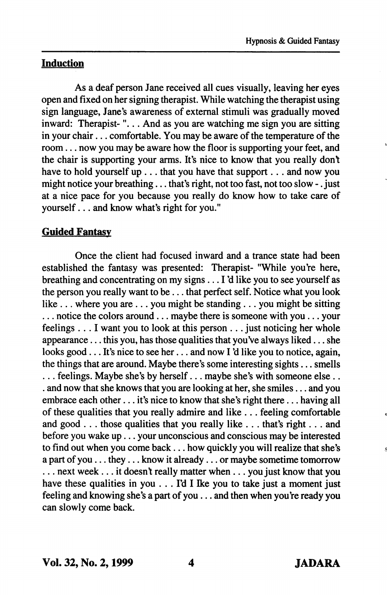# Induction

As a deaf person Jane received all cues visually, leaving her eyes open and fixed on her signing therapist. While watching the therapist using sign language, Jane's awareness of external stimuli was gradually moved inward: Therapist-"... And as you are watching me sign you are sitting in your chair... comfortable. You may be aware of the temperature of the room... now you may be aware how the floor is supporting your feet, and the chair is supporting your arms. It's nice to know that you really dont have to hold yourself up . . . that you have that support . . . and now you might notice your breathing . . . that's right, not too fast, not too slow - . just at a nice pace for you because you really do know how to take care of yourself... and know what's right for you."

# Guided Fantasy

Once the client had focused inward and a trance state had been established the fantasy was presented: Therapist- "While you're here, breathing and concentrating on my signs... I'd like you to see yourself as the person you really want to be... that perfect self. Notice what you look like ... where you are ... you might be standing... you might be sitting ... notice the colors around... maybe there is someone with you ... your feelings ... I want you to look at this person ... just noticing her whole appearance... this you, has those qualities that you've always liked... she looks good... It's nice to see her... and now I'd like you to notice, again, the things that are around. Maybe there's some interesting sights... smells ... feelings. Maybe she's by herself... maybe she's with some one else... . and now that she knows that you are looking at her, she smiles... and you embrace each other... it's nice to know that she's right there... having all of these qualities that you really admire and like ... feeling comfortable and good . . . those qualities that you really like . .. that's right.. . and before you wake up... your unconscious and conscious may be interested to find out when you come back... how quickly you will realize that she's a part of you... they... know it already... or maybe sometime tomorrow ... next week... it doesn't really matter when ... you just know that you have these qualities in you  $\ldots$  I'd I I ke you to take just a moment just feeling and knowing she's a part of you... and then when you're ready you can slowly come back.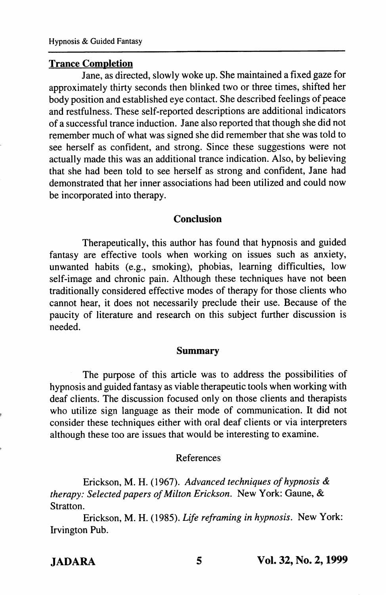## Trance Completion

Jane, as directed, slowly woke up. She maintained a fixed gaze for approximately thirty seconds then blinked two or three times, shifted her body position and established eye contact. She described feelings of peace and restfulness. These self-reported descriptions are additional indicators of a successful trance induction. Jane also reported that though she did not remember much of what was signed she did remember that she was told to see herself as confident, and strong. Since these suggestions were not actually made this was an additional trance indication. Also, by believing that she had been told to see herself as strong and confident, Jane had demonstrated that her inner associations had been utilized and could now be incorporated into therapy.

#### Conclusion

Therapeutically, this author has found that hypnosis and guided fantasy are effective tools when working on issues such as anxiety, unwanted habits (e.g., smoking), phobias, learning difficulties, low self-image and chronic pain. Although these techniques have not been traditionally considered effective modes of therapy for those clients who cannot hear, it does not necessarily preclude their use. Because of the paucity of literature and research on this subject further discussion is needed.

#### Summary

The purpose of this article was to address the possibilities of hypnosis and guided fantasy as viable therapeutic tools when working with deaf clients. The discussion focused only on those clients and therapists who utilize sign language as their mode of communication. It did not consider these techniques either with oral deaf clients or via interpreters although these too are issues that would be interesting to examine.

## References

Erickson, M. H. (1967). Advanced techniques of hypnosis & therapy: Selected papers of Milton Erickson. New York: Gaune, & Stratton.

Erickson, M. H. (1985). Life reframing in hypnosis. New York: Irvington Pub.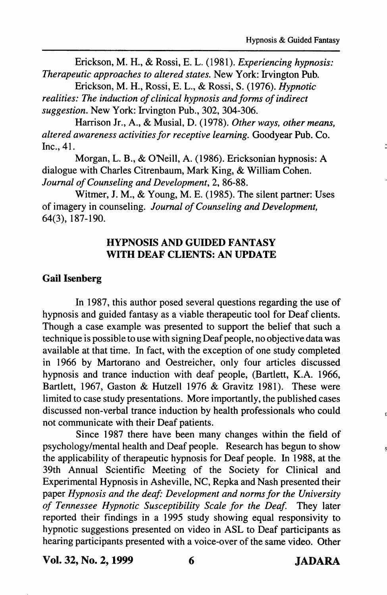Erickson, M. H., & Rossi, E. L. (1981). Experiencing hypnosis: Therapeutic approaches to altered states. New York: Irvington Pub.

Erickson, M. H., Rossi, E. L., & Rossi, S. (1976). Hypnotic realities: The induction of clinical hypnosis and forms of indirect suggestion. New York: Irvington Pub., 302, 304-306.

Harrison Jr., A., & Musial, D. (1978). Other ways, other means, altered awareness activities for receptive learning. Goodyear Pub. Co. Inc., 41.

Morgan, L. B., & O'Neill, A. (1986). Ericksonian hypnosis: A dialogue with Charles Citrenbaum, Mark King, & William Cohen. Journal of Counseling and Development, 2, 86-88.

Witmer, J. M., & Young, M. E. (1985). The silent partner: Uses of imagery in counseling. Journal of Counseling and Development, 64(3), 187-190.

## HYPNOSIS AND GUIDED FANTASY WITH DEAF CLIENTS; AN UPDATE

## Gail Isenberg

In 1987, this author posed several questions regarding the use of hypnosis and guided fantasy as a viable therapeutic tool for Deaf clients. Though a case example was presented to support the belief that such a technique is possible to use with signing Deaf people, no objective data was available at that time. In fact, with the exception of one study completed in 1966 by Martorano and Oestreicher, only four articles discussed hypnosis and trance induction with deaf people, (Bartlett, K.A. 1966, Bartlett, 1967, Gaston & Hutzell 1976 & Gravitz 1981). These were limited to case study presentations. More importantly, the published cases discussed non-verbal trance induction by health professionals who could not communicate with their Deaf patients.

Since 1987 there have been many changes within the field of psychology/mental health and Deaf people. Research has begun to show the applicability of therapeutic hypnosis for Deaf people. In 1988, at the 39th Annual Scientific Meeting of the Society for Clinical and Experimental Hypnosis in Asheville, NC, Repka and Nash presented their paper Hypnosis and the deaf: Development and norms for the University of Tennessee Hypnotic Susceptibility Scale for the Deaf. They later reported their findings in a 1995 study showing equal responsivity to hypnotic suggestions presented on video in ASL to Deaf participants as hearing participants presented with a voice-over of the same video. Other

Vol. 32, No. 2,1999 6 JADARA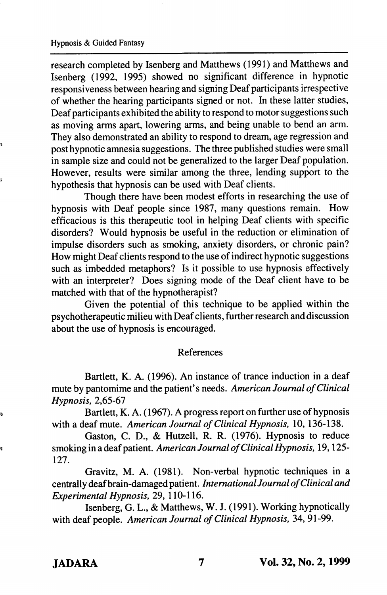research completed by Isenberg and Matthews (1991) and Matthews and Isenberg (1992, 1995) showed no significant difference in hypnotic responsiveness between hearing and signing Deaf participants irrespective of whether the hearing participants signed or not. In these latter studies. Deaf participants exhibited the ability to respond to motor suggestions such as moving arms apart, lowering arms, and being unable to bend an arm. They also demonstrated an ability to respond to dream, age regression and post hypnotic amnesia suggestions. The three published studies were small in sample size and could not be generalized to the larger Deaf population. However, results were similar among the three, lending support to the hypothesis that hypnosis can be used with Deaf clients.

Though there have been modest efforts in researching the use of hypnosis with Deaf people since 1987, many questions remain. How efficacious is this therapeutic tool in helping Deaf clients with specific disorders? Would hypnosis be useful in the reduction or elimination of impulse disorders such as smoking, anxiety disorders, or chronic pain? How might Deaf clients respond to the use of indirect hypnotic suggestions such as imbedded metaphors? Is it possible to use hypnosis effectively with an interpreter? Does signing mode of the Deaf client have to be matched with that of the hypnotherapist?

Given the potential of this technique to be applied within the psychotherapeutic milieu with Deaf clients, further research and discussion about the use of hypnosis is encouraged.

## References

Bartlett, K. A. (1996). An instance of trance induction in a deaf mute by pantomime and the patient's needs. American Journal of Clinical Hypnosis, 2,65-67

Bartlett, K. A. (1967). A progress report on further use of hypnosis with a deaf mute. American Journal of Clinical Hypnosis, 10, 136-138.

Gaston, C. D., & Hutzell, R. R. (1976). Hypnosis to reduce smoking in a deaf patient. American Journal of Clinical Hypnosis, 19,125- 127.

Gravitz, M. A. (1981). Non-verbal hypnotic techniques in a centrally deaf brain-damaged patient. International Journal of Clinical and Experimental Hypnosis, 29, 110-116.

Isenberg, G. L., & Matthews, W. J. (1991). Working hypnotically with deaf people. American Journal of Clinical Hypnosis, 34, 91-99.

s